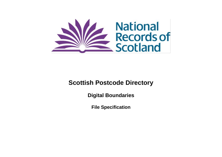

# **Scottish Postcode Directory**

**Digital Boundaries**

**File Specification**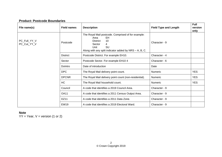### **Product: Postcode Boundaries**

| File name(s)                | <b>Field names</b> | <b>Description</b>                                                                                                                                                               | <b>Field Type and Length</b> | <b>Full</b><br>version<br>only |
|-----------------------------|--------------------|----------------------------------------------------------------------------------------------------------------------------------------------------------------------------------|------------------------------|--------------------------------|
| PC_Full_YY_V<br>PC_Cut_YY_V | Postcode           | The Royal Mail postcode. Comprised of for example:<br>EH<br>Area<br><b>District</b><br>10<br>Sector<br>4<br>SU<br>Unit<br>Along with any split indicator added by NRS - A, B, C. | Character - 9                |                                |
|                             | <b>District</b>    | Postcode District. For example EH10.                                                                                                                                             | Character - 4                |                                |
|                             | Sector             | Postcode Sector. For example EH10 4                                                                                                                                              | Character - 6                |                                |
|                             | Dolntro            | Date of introduction                                                                                                                                                             | Date                         |                                |
|                             | <b>DPC</b>         | The Royal Mail delivery point count.                                                                                                                                             | Numeric                      | YES.                           |
|                             | <b>DPCNR</b>       | The Royal Mail delivery point count (non-residential).                                                                                                                           | Numeric                      | <b>YES</b>                     |
|                             | HC                 | The Royal Mail household count.                                                                                                                                                  | Numeric                      | <b>YES</b>                     |
|                             | Council            | A code that identifies a 2019 Council Area.                                                                                                                                      | Character - 9                |                                |
|                             | <b>OA11</b>        | A code that identifies a 2011 Census Output Area.                                                                                                                                | Character - 9                |                                |
|                             | <b>DZ11</b>        | A code that identifies a 2011 Data Zone.                                                                                                                                         | Character - 9                |                                |
|                             | <b>EW19</b>        | A code that identifies a 2019 Electoral Ward.                                                                                                                                    | Character - 9                |                                |

#### **Note**

 $YY = Year, V = version (1 or 2)$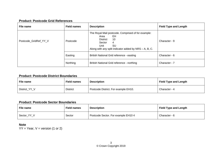## **Product: Postcode Grid References**

| File name             | <b>Field names</b> | <b>Description</b>                                                                                                                                                                | <b>Field Type and Length</b> |
|-----------------------|--------------------|-----------------------------------------------------------------------------------------------------------------------------------------------------------------------------------|------------------------------|
| Postcode_GridRef_YY_V | Postcode           | The Royal Mail postcode. Comprised of for example:<br>EH.<br>Area<br>10<br><b>District</b><br>4<br>Sector<br>SU<br>Unit<br>Along with any split indicator added by NRS - A, B, C. | Character - 9                |
|                       | Easting            | British National Grid reference - easting                                                                                                                                         | Character - 6                |
|                       | Northing           | British National Grid reference - northing                                                                                                                                        | Character - 7                |

## **Product: Postcode District Boundaries**

| File name     | <b>Field names</b> | <b>Description</b>                   | <b>Field Type and Length</b> |
|---------------|--------------------|--------------------------------------|------------------------------|
| District_YY_V | <b>District</b>    | Postcode District. For example EH10. | Character - 4                |

#### **Product: Postcode Sector Boundaries**

| File name   | <b>Field names</b> | <b>Description</b>                  | <b>Field Type and Length</b> |
|-------------|--------------------|-------------------------------------|------------------------------|
| Sector YY V | Sector             | Postcode Sector. For example EH10 4 | Character - 6                |

**Note**  $YY = Year, V = version (1 or 2)$